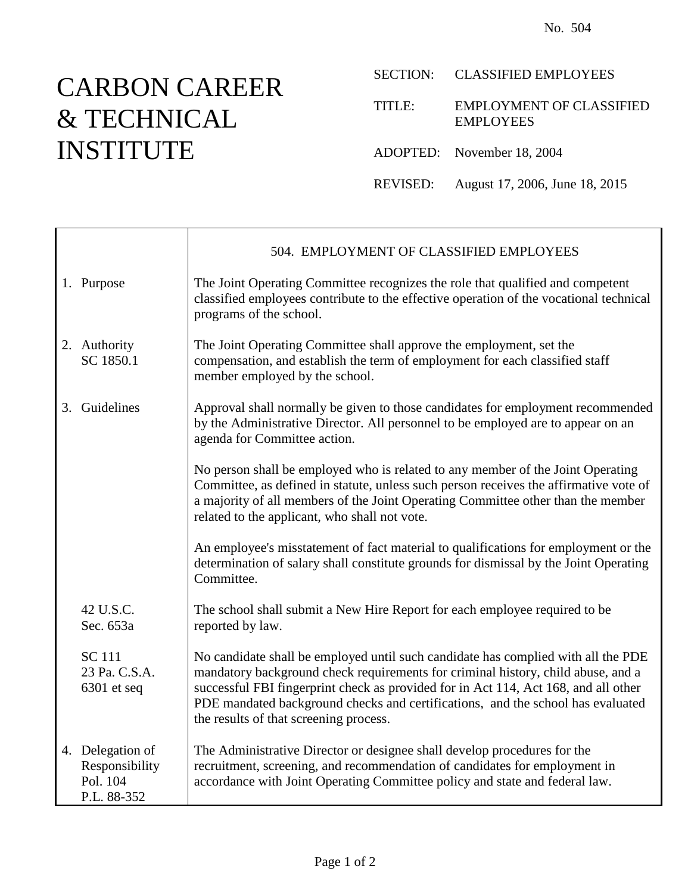## CARBON CAREER & TECHNICAL INSTITUTE

|        | SECTION: CLASSIFIED EMPLOYEES                       |
|--------|-----------------------------------------------------|
| TITLE: | <b>EMPLOYMENT OF CLASSIFIED</b><br><b>EMPLOYEES</b> |
|        | ADOPTED: November 18, 2004                          |
|        | REVISED: August 17, 2006, June 18, 2015             |

|                                                               | 504. EMPLOYMENT OF CLASSIFIED EMPLOYEES                                                                                                                                                                                                                                                                                                                                                   |
|---------------------------------------------------------------|-------------------------------------------------------------------------------------------------------------------------------------------------------------------------------------------------------------------------------------------------------------------------------------------------------------------------------------------------------------------------------------------|
| 1. Purpose                                                    | The Joint Operating Committee recognizes the role that qualified and competent<br>classified employees contribute to the effective operation of the vocational technical<br>programs of the school.                                                                                                                                                                                       |
| 2. Authority<br>SC 1850.1                                     | The Joint Operating Committee shall approve the employment, set the<br>compensation, and establish the term of employment for each classified staff<br>member employed by the school.                                                                                                                                                                                                     |
| 3. Guidelines                                                 | Approval shall normally be given to those candidates for employment recommended<br>by the Administrative Director. All personnel to be employed are to appear on an<br>agenda for Committee action.                                                                                                                                                                                       |
|                                                               | No person shall be employed who is related to any member of the Joint Operating<br>Committee, as defined in statute, unless such person receives the affirmative vote of<br>a majority of all members of the Joint Operating Committee other than the member<br>related to the applicant, who shall not vote.                                                                             |
|                                                               | An employee's misstatement of fact material to qualifications for employment or the<br>determination of salary shall constitute grounds for dismissal by the Joint Operating<br>Committee.                                                                                                                                                                                                |
| 42 U.S.C.<br>Sec. 653a                                        | The school shall submit a New Hire Report for each employee required to be<br>reported by law.                                                                                                                                                                                                                                                                                            |
| <b>SC</b> 111<br>23 Pa. C.S.A.<br>$6301$ et seq               | No candidate shall be employed until such candidate has complied with all the PDE<br>mandatory background check requirements for criminal history, child abuse, and a<br>successful FBI fingerprint check as provided for in Act 114, Act 168, and all other<br>PDE mandated background checks and certifications, and the school has evaluated<br>the results of that screening process. |
| 4. Delegation of<br>Responsibility<br>Pol. 104<br>P.L. 88-352 | The Administrative Director or designee shall develop procedures for the<br>recruitment, screening, and recommendation of candidates for employment in<br>accordance with Joint Operating Committee policy and state and federal law.                                                                                                                                                     |